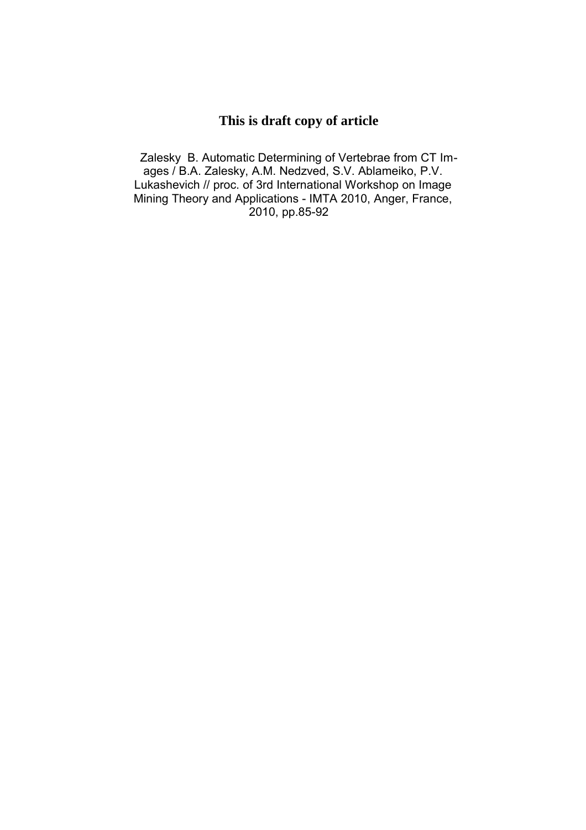# **This is draft copy of article**

Zalesky B. Automatic Determining of Vertebrae from CT Images / B.A. Zalesky, A.M. Nedzved, S.V. Ablameiko, P.V. Lukashevich // proc. of 3rd International Workshop on Image Mining Theory and Applications - IMTA 2010, Anger, France, 2010, pp.85-92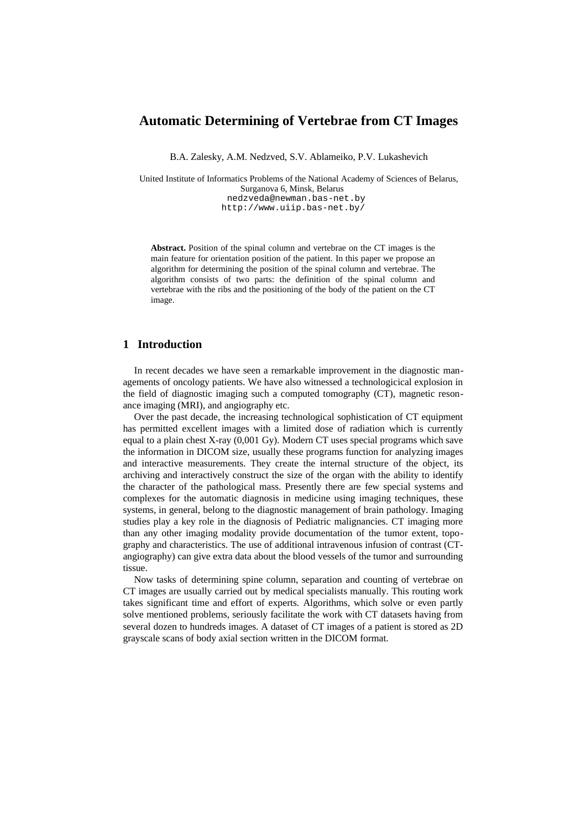## **Automatic Determining of Vertebrae from CT Images**

B.A. Zalesky, A.M. Nedzved, S.V. Ablameiko, P.V. Lukashevich

United Institute of Informatics Problems of the National Academy of Sciences of Belarus, Surganova 6, Minsk, Belarus nedzveda@newman.bas-net.by http://www.uiip.bas-net.by/

**Abstract.** Position of the spinal column and vertebrae on the CT images is the main feature for orientation position of the patient. In this paper we propose an algorithm for determining the position of the spinal column and vertebrae. The algorithm consists of two parts: the definition of the spinal column and vertebrae with the ribs and the positioning of the body of the patient on the CT image.

## **1 Introduction**

In recent decades we have seen a remarkable improvement in the diagnostic managements of oncology patients. We have also witnessed a technologicical explosion in the field of diagnostic imaging such a computed tomography (CT), magnetic resonance imaging (MRI), and angiography etc.

Over the past decade, the increasing technological sophistication of CT equipment has permitted excellent images with a limited dose of radiation which is currently equal to a plain chest X-ray (0,001 Gy). Modern CT uses special programs which save the information in DICOM size, usually these programs function for analyzing images and interactive measurements. They create the internal structure of the object, its archiving and interactively construct the size of the organ with the ability to identify the character of the pathological mass. Presently there are few special systems and complexes for the automatic diagnosis in medicine using imaging techniques, these systems, in general, belong to the diagnostic management of brain pathology. Imaging studies play a key role in the diagnosis of Pediatric malignancies. CT imaging more than any other imaging modality provide documentation of the tumor extent, topography and characteristics. The use of additional intravenous infusion of contrast (CTangiography) can give extra data about the blood vessels of the tumor and surrounding tissue.

Now tasks of determining spine column, separation and counting of vertebrae on CT images are usually carried out by medical specialists manually. This routing work takes significant time and effort of experts. Algorithms, which solve or even partly solve mentioned problems, seriously facilitate the work with CT datasets having from several dozen to hundreds images. A dataset of CT images of a patient is stored as 2D grayscale scans of body axial section written in the DICOM format.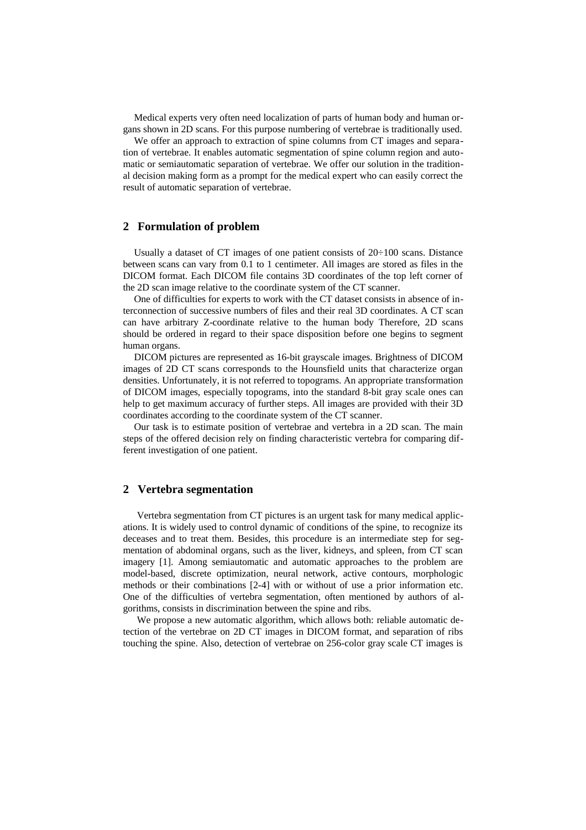Medical experts very often need localization of parts of human body and human organs shown in 2D scans. For this purpose numbering of vertebrae is traditionally used.

We offer an approach to extraction of spine columns from CT images and separation of vertebrae. It enables automatic segmentation of spine column region and automatic or semiautomatic separation of vertebrae. We offer our solution in the traditional decision making form as a prompt for the medical expert who can easily correct the result of automatic separation of vertebrae.

#### **2 Formulation of problem**

Usually a dataset of CT images of one patient consists of 20÷100 scans. Distance between scans can vary from 0.1 to 1 centimeter. All images are stored as files in the DICOM format. Each DICOM file contains 3D coordinates of the top left corner of the 2D scan image relative to the coordinate system of the CT scanner.

One of difficulties for experts to work with the CT dataset consists in absence of interconnection of successive numbers of files and their real 3D coordinates. A CT scan can have arbitrary Z-coordinate relative to the human body Therefore, 2D scans should be ordered in regard to their space disposition before one begins to segment human organs.

DICOM pictures are represented as 16-bit grayscale images. Brightness of DICOM images of 2D CT scans corresponds to the Hounsfield units that characterize organ densities. Unfortunately, it is not referred to topograms. An appropriate transformation of DICOM images, especially topograms, into the standard 8-bit gray scale ones can help to get maximum accuracy of further steps. All images are provided with their 3D coordinates according to the coordinate system of the CT scanner.

Our task is to estimate position of vertebrae and vertebra in a 2D scan. The main steps of the offered decision rely on finding characteristic vertebra for comparing different investigation of one patient.

#### **2 Vertebra segmentation**

Vertebra segmentation from CT pictures is an urgent task for many medical applications. It is widely used to control dynamic of conditions of the spine, to recognize its deceases and to treat them. Besides, this procedure is an intermediate step for segmentation of abdominal organs, such as the liver, kidneys, and spleen, from CT scan imagery [1]. Among semiautomatic and automatic approaches to the problem are model-based, discrete optimization, neural network, active contours, morphologic methods or their combinations [2-4] with or without of use a prior information etc. One of the difficulties of vertebra segmentation, often mentioned by authors of algorithms, consists in discrimination between the spine and ribs.

We propose a new automatic algorithm, which allows both: reliable automatic detection of the vertebrae on 2D CT images in DICOM format, and separation of ribs touching the spine. Also, detection of vertebrae on 256-color gray scale CT images is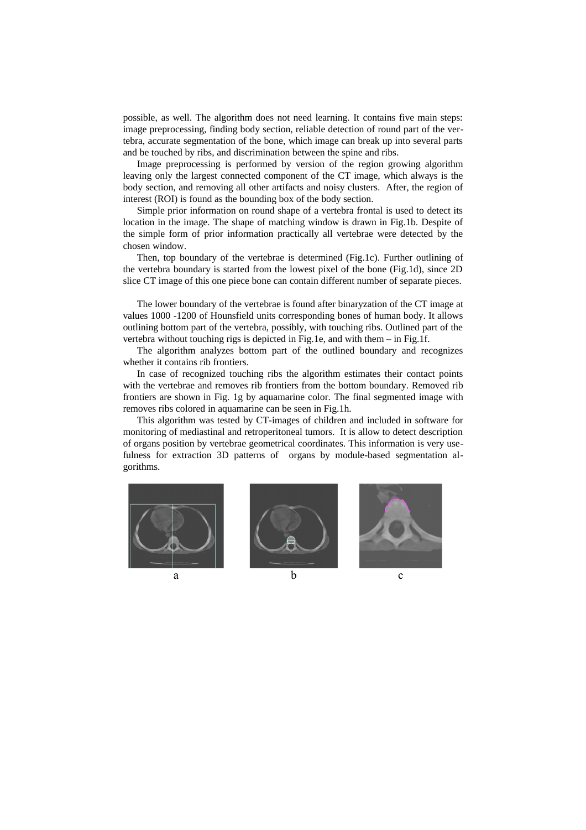possible, as well. The algorithm does not need learning. It contains five main steps: image preprocessing, finding body section, reliable detection of round part of the vertebra, accurate segmentation of the bone, which image can break up into several parts and be touched by ribs, and discrimination between the spine and ribs.

Image preprocessing is performed by version of the region growing algorithm leaving only the largest connected component of the CT image, which always is the body section, and removing all other artifacts and noisy clusters. After, the region of interest (ROI) is found as the bounding box of the body section.

Simple prior information on round shape of a vertebra frontal is used to detect its location in the image. The shape of matching window is drawn in Fig.1b. Despite of the simple form of prior information practically all vertebrae were detected by the chosen window.

Then, top boundary of the vertebrae is determined (Fig.1c). Further outlining of the vertebra boundary is started from the lowest pixel of the bone (Fig.1d), since 2D slice CT image of this one piece bone can contain different number of separate pieces.

The lower boundary of the vertebrae is found after binaryzation of the CT image at values 1000 -1200 of Hounsfield units corresponding bones of human body. It allows outlining bottom part of the vertebra, possibly, with touching ribs. Outlined part of the vertebra without touching rigs is depicted in Fig.1e, and with them – in Fig.1f.

The algorithm analyzes bottom part of the outlined boundary and recognizes whether it contains rib frontiers.

In case of recognized touching ribs the algorithm estimates their contact points with the vertebrae and removes rib frontiers from the bottom boundary. Removed rib frontiers are shown in Fig. 1g by aquamarine color. The final segmented image with removes ribs colored in aquamarine can be seen in Fig.1h.

This algorithm was tested by CT-images of children and included in software for monitoring of mediastinal and retroperitoneal tumors. It is allow to detect description of organs position by vertebrae geometrical coordinates. This information is very usefulness for extraction 3D patterns of organs by module-based segmentation algorithms.





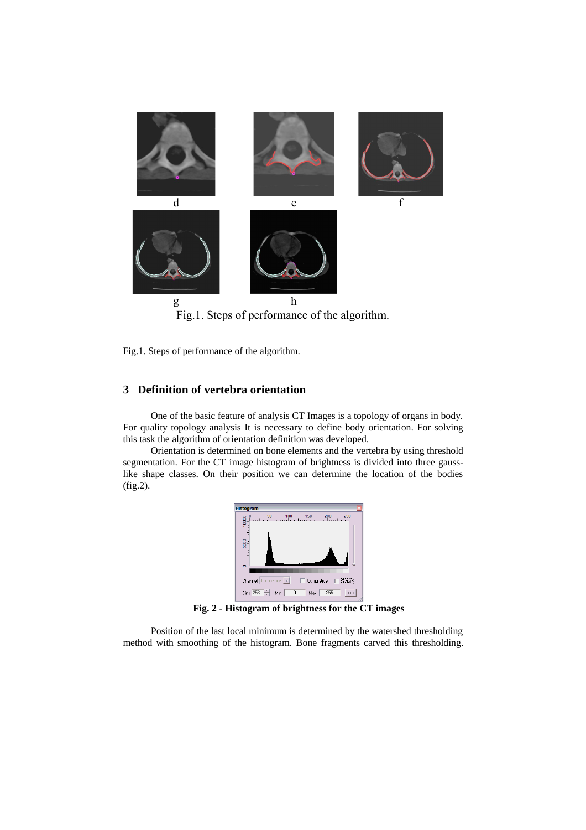

Fig.1. Steps of performance of the algorithm.

# **3 Definition of vertebra orientation**

One of the basic feature of analysis CT Images is a topology of organs in body. For quality topology analysis It is necessary to define body orientation. For solving this task the algorithm of orientation definition was developed.

Orientation is determined on bone elements and the vertebra by using threshold segmentation. For the CT image histogram of brightness is divided into three gausslike shape classes. On their position we can determine the location of the bodies (fig.2).



**Fig. 2 - Histogram of brightness for the CT images**

Position of the last local minimum is determined by the watershed thresholding method with smoothing of the histogram. Bone fragments carved this thresholding.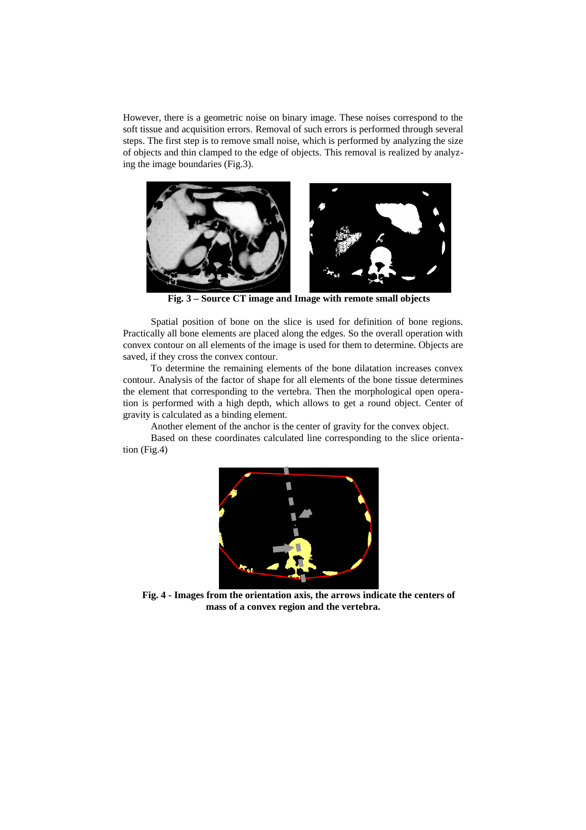However, there is a geometric noise on binary image. These noises correspond to the soft tissue and acquisition errors. Removal of such errors is performed through several steps. The first step is to remove small noise, which is performed by analyzing the size of objects and thin clamped to the edge of objects. This removal is realized by analyzing the image boundaries (Fig.3).



**Fig. 3 – Source CT image and Image with remote small objects**

Spatial position of bone on the slice is used for definition of bone regions. Practically all bone elements are placed along the edges. So the overall operation with convex contour on all elements of the image is used for them to determine. Objects are saved, if they cross the convex contour.

To determine the remaining elements of the bone dilatation increases convex contour. Analysis of the factor of shape for all elements of the bone tissue determines the element that corresponding to the vertebra. Then the morphological open operation is performed with a high depth, which allows to get a round object. Center of gravity is calculated as a binding element.

Another element of the anchor is the center of gravity for the convex object.

Based on these coordinates calculated line corresponding to the slice orientation (Fig.4)



**Fig. 4 - Images from the orientation axis, the arrows indicate the centers of mass of a convex region and the vertebra.**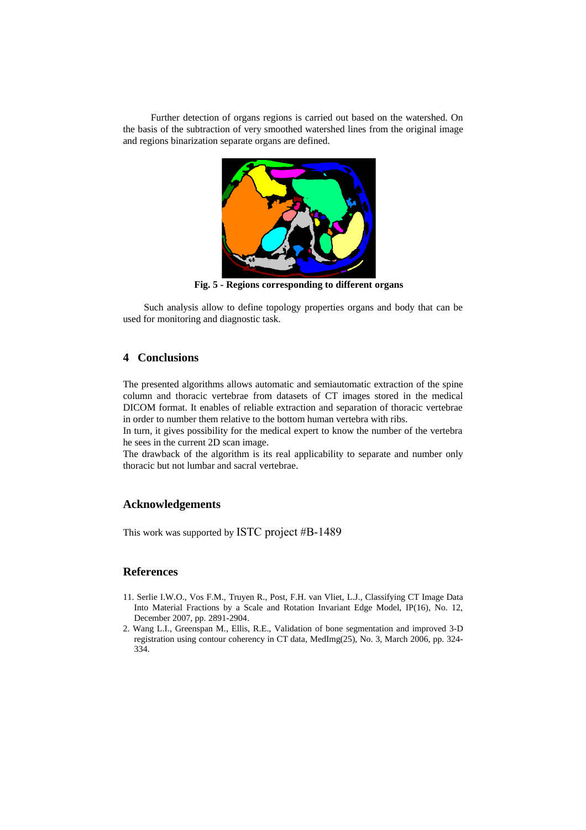Further detection of organs regions is carried out based on the watershed. On the basis of the subtraction of very smoothed watershed lines from the original image and regions binarization separate organs are defined.



**Fig. 5 - Regions corresponding to different organs**

Such analysis allow to define topology properties organs and body that can be used for monitoring and diagnostic task.

## **4 Conclusions**

The presented algorithms allows automatic and semiautomatic extraction of the spine column and thoracic vertebrae from datasets of CT images stored in the medical DICOM format. It enables of reliable extraction and separation of thoracic vertebrae in order to number them relative to the bottom human vertebra with ribs.

In turn, it gives possibility for the medical expert to know the number of the vertebra he sees in the current 2D scan image.

The drawback of the algorithm is its real applicability to separate and number only thoracic but not lumbar and sacral vertebrae.

## **Acknowledgements**

This work was supported by ISTC project #B-1489

#### **References**

- 11. Serlie I.W.O., Vos F.M., Truyen R., Post, F.H. van Vliet, L.J., Classifying CT Image Data Into Material Fractions by a Scale and Rotation Invariant Edge Model, IP(16), No. 12, December 2007, pp. 2891-2904.
- 2. Wang L.I., Greenspan M., Ellis, R.E., Validation of bone segmentation and improved 3-D registration using contour coherency in CT data, MedImg(25), No. 3, March 2006, pp. 324- 334.